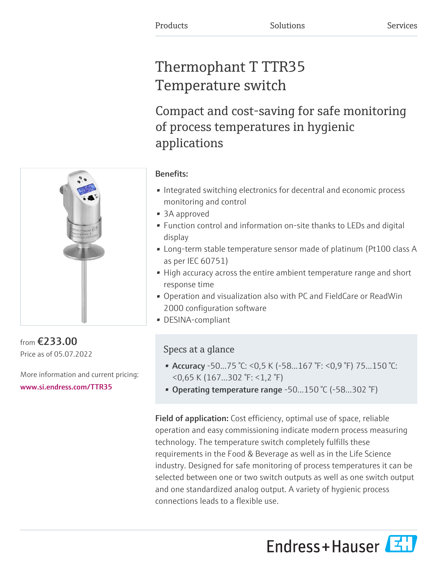# Thermophant T TTR35 Temperature switch

Compact and cost-saving for safe monitoring of process temperatures in hygienic applications



from €233.00 Price as of 05.07.2022

More information and current pricing: [www.si.endress.com/TTR35](https://www.si.endress.com/TTR35)

### Benefits:

- Integrated switching electronics for decentral and economic process monitoring and control
- 3A approved
- Function control and information on-site thanks to LEDs and digital display
- Long-term stable temperature sensor made of platinum (Pt100 class A as per IEC 60751)
- High accuracy across the entire ambient temperature range and short response time
- Operation and visualization also with PC and FieldCare or ReadWin 2000 configuration software
- DESINA-compliant

# Specs at a glance

- Accuracy -50...75 °C: <0,5 K (-58...167 °F: <0,9 °F) 75...150 °C: <0,65 K (167...302 °F: <1,2 °F)
- Operating temperature range -50...150 °C (-58...302 °F)

Field of application: Cost efficiency, optimal use of space, reliable operation and easy commissioning indicate modern process measuring technology. The temperature switch completely fulfills these requirements in the Food & Beverage as well as in the Life Science industry. Designed for safe monitoring of process temperatures it can be selected between one or two switch outputs as well as one switch output and one standardized analog output. A variety of hygienic process connections leads to a flexible use.